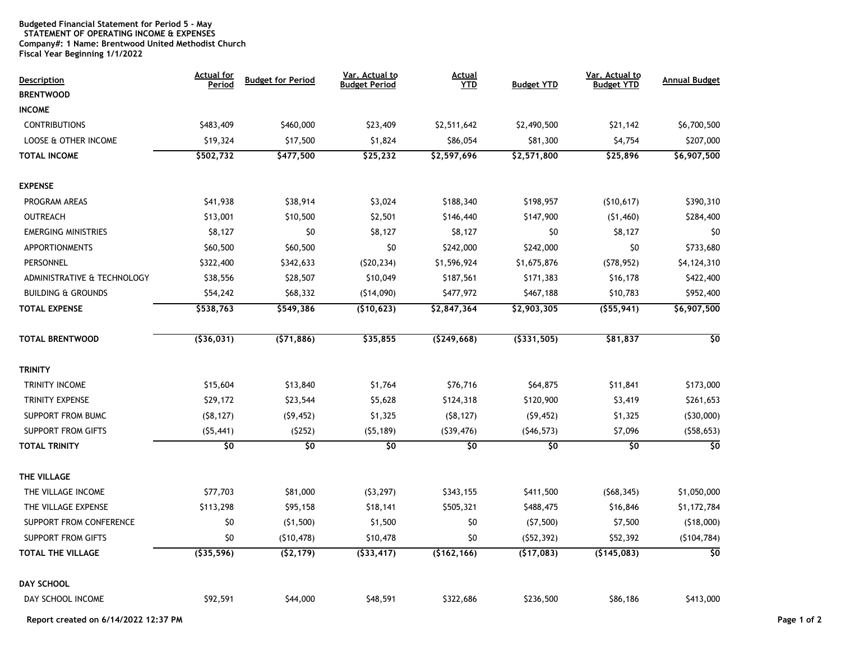## **Budgeted Financial Statement for Period 5 - May STATEMENT OF OPERATING INCOME & EXPENSES Company#: 1 Name: Brentwood United Methodist Church Fiscal Year Beginning 1/1/2022**

| <b>Description</b><br><b>BRENTWOOD</b> | <b>Actual for</b><br>Period | <b>Budget for Period</b> | Var. Actual to<br><b>Budget Period</b> | <u>Actual</u><br><b>YTD</b> | <b>Budget YTD</b> | Var. Actual to<br><b>Budget YTD</b> | <b>Annual Budget</b>     |
|----------------------------------------|-----------------------------|--------------------------|----------------------------------------|-----------------------------|-------------------|-------------------------------------|--------------------------|
| <b>INCOME</b>                          |                             |                          |                                        |                             |                   |                                     |                          |
| <b>CONTRIBUTIONS</b>                   | \$483,409                   | \$460,000                | \$23,409                               | \$2,511,642                 | \$2,490,500       | \$21,142                            | \$6,700,500              |
| LOOSE & OTHER INCOME                   | \$19,324                    | \$17,500                 | \$1,824                                | \$86,054                    | \$81,300          | \$4,754                             | \$207,000                |
| TOTAL INCOME                           | \$502,732                   | \$477,500                | \$25,232                               | \$2,597,696                 | \$2,571,800       | \$25,896                            | \$6,907,500              |
| <b>EXPENSE</b>                         |                             |                          |                                        |                             |                   |                                     |                          |
| PROGRAM AREAS                          | \$41,938                    | \$38,914                 | \$3,024                                | \$188,340                   | \$198,957         | (510, 617)                          | \$390,310                |
| OUTREACH                               | \$13,001                    | \$10,500                 | \$2,501                                | \$146,440                   | \$147,900         | (51, 460)                           | \$284,400                |
| <b>EMERGING MINISTRIES</b>             | \$8,127                     | \$0                      | \$8,127                                | \$8,127                     | \$0               | \$8,127                             | \$0                      |
| <b>APPORTIONMENTS</b>                  | \$60,500                    | \$60,500                 | \$0                                    | \$242,000                   | \$242,000         | \$0                                 | \$733,680                |
| PERSONNEL                              | \$322,400                   | \$342,633                | (520, 234)                             | \$1,596,924                 | \$1,675,876       | (578, 952)                          | \$4,124,310              |
| ADMINISTRATIVE & TECHNOLOGY            | \$38,556                    | \$28,507                 | \$10,049                               | \$187,561                   | \$171,383         | \$16,178                            | \$422,400                |
| <b>BUILDING &amp; GROUNDS</b>          | \$54,242                    | \$68,332                 | (514,090)                              | \$477,972                   | \$467,188         | \$10,783                            | \$952,400                |
| <b>TOTAL EXPENSE</b>                   | \$538,763                   | \$549,386                | (\$10,623)                             | \$2,847,364                 | \$2,903,305       | (555, 941)                          | \$6,907,500              |
| <b>TOTAL BRENTWOOD</b>                 | ( \$36, 031)                | (571, 886)               | \$35,855                               | (5249, 668)                 | (\$331,505)       | \$81,837                            | $\overline{\varsigma_0}$ |
| <b>TRINITY</b>                         |                             |                          |                                        |                             |                   |                                     |                          |
| TRINITY INCOME                         | \$15,604                    | \$13,840                 | \$1,764                                | \$76,716                    | \$64,875          | \$11,841                            | \$173,000                |
| TRINITY EXPENSE                        | \$29,172                    | \$23,544                 | \$5,628                                | \$124,318                   | \$120,900         | \$3,419                             | \$261,653                |
| SUPPORT FROM BUMC                      | (58, 127)                   | (59, 452)                | \$1,325                                | (58, 127)                   | (59, 452)         | \$1,325                             | (530,000)                |
| <b>SUPPORT FROM GIFTS</b>              | (55, 441)                   | (5252)                   | (55, 189)                              | (539, 476)                  | (546, 573)        | \$7,096                             | (558, 653)               |
| <b>TOTAL TRINITY</b>                   | \$0                         | $\overline{50}$          | \$0                                    | \$0                         | \$0               | \$0                                 | \$0                      |
| THE VILLAGE                            |                             |                          |                                        |                             |                   |                                     |                          |
| THE VILLAGE INCOME                     | \$77,703                    | \$81,000                 | (53, 297)                              | \$343,155                   | \$411,500         | (568, 345)                          | \$1,050,000              |
| THE VILLAGE EXPENSE                    | \$113,298                   | \$95,158                 | \$18,141                               | \$505,321                   | \$488,475         | \$16,846                            | \$1,172,784              |
| SUPPORT FROM CONFERENCE                | \$0                         | (51,500)                 | \$1,500                                | \$0                         | (57,500)          | \$7,500                             | (518,000)                |
| <b>SUPPORT FROM GIFTS</b>              | \$0                         | (510, 478)               | \$10,478                               | \$0                         | (552, 392)        | \$52,392                            | (5104, 784)              |
| TOTAL THE VILLAGE                      | (535, 596)                  | (52, 179)                | (533, 417)                             | (\$162,166)                 | (\$17,083)        | (\$145,083)                         | 30                       |
| <b>DAY SCHOOL</b>                      |                             |                          |                                        |                             |                   |                                     |                          |
| DAY SCHOOL INCOME                      | \$92,591                    | \$44,000                 | \$48,591                               | \$322,686                   | \$236,500         | \$86,186                            | \$413,000                |